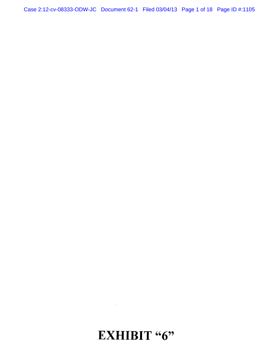Case 2:12-cv-08333-ODW-JC Document 62-1 Filed 03/04/13 Page 1 of 18 Page ID #:1105

# EXHIBIT "6"

 $\mathcal{L}^{\text{max}}_{\text{max}}$  ,  $\mathcal{L}^{\text{max}}_{\text{max}}$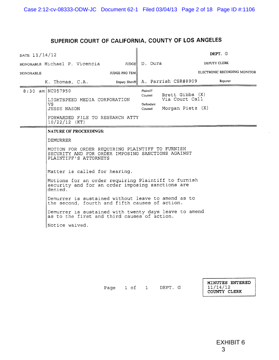# **SUPERIOR COURT OF CALIFORNIA, COUNTY OF LOS ANGELES**

| DATE: 11/14/12                                 |                                                                                                           |                                                                                                                                                                                                                                                                                                                                                                                                                                                                                                                                                                                               |  |                                        |              |                                                         |  | DEPT. G                      |  |
|------------------------------------------------|-----------------------------------------------------------------------------------------------------------|-----------------------------------------------------------------------------------------------------------------------------------------------------------------------------------------------------------------------------------------------------------------------------------------------------------------------------------------------------------------------------------------------------------------------------------------------------------------------------------------------------------------------------------------------------------------------------------------------|--|----------------------------------------|--------------|---------------------------------------------------------|--|------------------------------|--|
| IUDGE D. Oura<br>HONORABLE Michael P. Vicencia |                                                                                                           |                                                                                                                                                                                                                                                                                                                                                                                                                                                                                                                                                                                               |  |                                        | DEPUTY CLERK |                                                         |  |                              |  |
| <b>JUDGE PRO TEMI</b><br><b>HONORABLE</b>      |                                                                                                           |                                                                                                                                                                                                                                                                                                                                                                                                                                                                                                                                                                                               |  |                                        |              |                                                         |  | ELECTRONIC RECORDING MONITOR |  |
|                                                | K. Thomas, C.A.                                                                                           |                                                                                                                                                                                                                                                                                                                                                                                                                                                                                                                                                                                               |  |                                        |              | Deputy Sheriff   A. Parrish CSR#8909                    |  | Reporter                     |  |
|                                                | 8:30 am NC057950<br>VS.<br><b>JESSE NASON</b><br>$10/22/12$ (KT)<br>DEMURRER<br>denied.<br>Notice waived. | LIGHTSPEED MEDIA CORPORATION<br>FORWARDED FILE TO RESEARCH ATTY<br><b>NATURE OF PROCEEDINGS:</b><br>MOTION FOR ORDER REQUIRING PLAINTIFF TO FURNISH<br>SECURITY AND FOR ORDER IMPOSING SANCTIONS AGAINST<br>PLAINTIFF'S ATTORNEYS<br>Matter is called for hearing.<br>Motions for an order requiring Plaintiff to furnish<br>security and for an order imposing sanctions are<br>Demurrer is sustained without leave to amend as to<br>the second, fourth and fifth causes of action.<br>Demurrer is sustained with twenty days leave to amend<br>as to the first and third causes of action. |  | <b>Plaintiff</b><br>Counsel<br>Counsel | Defendant    | Brett Gibbs (X)<br>Via Court Call<br>Morgan Pietz $(X)$ |  |                              |  |
|                                                |                                                                                                           |                                                                                                                                                                                                                                                                                                                                                                                                                                                                                                                                                                                               |  |                                        |              |                                                         |  |                              |  |

Page 1 of 1 DEPT. G

**MINUTES ENTERED**  11/14/1 2 **COUNTY CLIRK**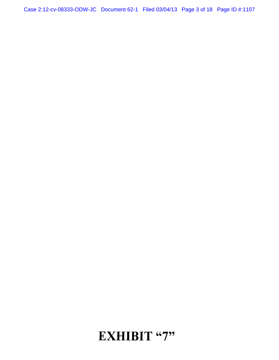Case 2:12-cv-08333-ODW-JC Document 62-1 Filed 03/04/13 Page 3 of 18 Page ID #:1107

# **12 IL EXHIBIT** "7"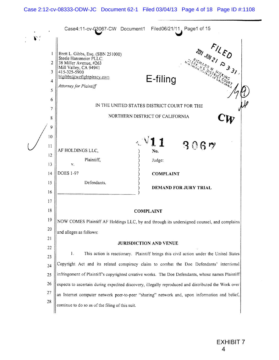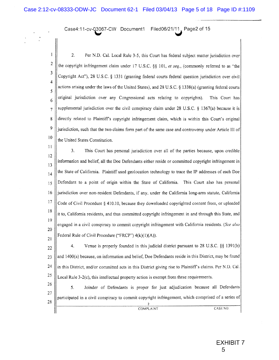Case4:11-cv-Q3067-CW Documentl **Filed06/21/1**1 k Page2 of 15

I 2 3 4 5 6 7 8 9 10 2. Per N.D, Cal. Local Rule 3-5, this Court has federal subject matter jurisdiction over the copyright infringement claim under 17 U.S.C. §§ 101, *el seq.,* **(commonly** referred to as "the Copyright Act"), 28 U.S.C. § 1331 (granting federal courts federal question jurisdiction over civil actions arising under the laws of the United States), and 28 U.S.C, § 1338(a) (granting federal courts original jurisdiction over any Congressional acts relating to copyrights). This Court has supplemental jurisdiction over the civil conspiracy claim under 28 U.S.C. § 1367(a) because it is directly related to Plaintiffs copyright infringement claim, which is within this Court's original jurisdiction, such that the two claims form part of the same case and controversy under Article III of the United States Constitution.

 $\mathbf{1}$ 3. This Court has personal jurisdiction over all of the parties because, upon credible 12 information and belief, all the Doe Defendants either reside or committed copyright infringement in 13 the State of California, Plaintiff used geolocation technology to trace the IP addresses of each Doe 14 Defendant to a point of origin within the State of California. This Court also has personal 15 16 jurisdiction over non-resident Defendants, if any, under the California long-arm statute, California 17 Code of Civil Procedure § 410.10, because they downloaded copyrighted content from, or uploaded 18 it to, California residents, and thus committed copyright infringement in and through this State, and 19 engaged in a civil conspiracy to commit copyright infringement with California residents. *(See also*  20 Federal Rule of Civil Procedure ("FRCP")  $4(k)(1)(A)$ ). 21

22 23 24 25 4. Venue is properly founded in this judicial district pursuant to 28 U.S.C. §§ 1391(b) and 1400(a) because, on information and belief, Doe Defendants reside in this District, may be found in this District, and/or committed acts in this District giving rise to Plaintiffs claims. Per N.D. Cal. Local Rule 3-2(c), this intellectual property action is exempt from these requirements.

26 27 28 5. Joinder of Defendants is proper for just adjudication because all Defendants participated in a civil conspiracy to commit copyright infringement, which comprised of a series of 2 \_\_\_\_\_\_\_\_\_\_ \_ COMPLAINT CASE NO.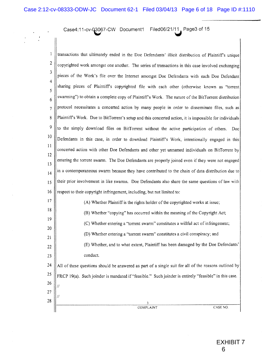Case4;11-cv-O3067-CW Documentl **Filed06/21/1**1, Page3 of 15

1 2 3 4 5 6 7 8 9 10 11 12 13 14 15 16 17 18 19 20 21 22 23 24 25 26 27 28 transactions that ultimately ended in the Doe Defendants' illicit distribution of Plaintiff's unique copyrighted work amongst one another. The series of transactions in this case involved exchanging pieces of the Work's file over the Internet amongst Doe Defendants with each Doe Defendant sharing pieces of Plaintiffs copyrighted file with each other (otherwise known as "torrent swarming") to obtain a complete copy of Plaintiffs Work. The nature of the BitTorrent distribution protocol necessitates a concerted action by many people in order to disseminate files, such as Plaintiffs Work. Due to BitTorrent's setup and this concerted action, it is impossible for individuals to the simply download files on BitTorrent without the active participation of others. Doe Defendants in this case, in order to download Plaintiffs Work, intentionally engaged in this concerted action with other Doe Defendants and other yet unnamed individuals on BitTorrent by entering the torrent swarm. The Doe Defendants are properly joined even if they were not engaged in a contemporaneous swarm because they have contributed to the chain of data distribution due to their prior involvement in like swarms. Doe Defendants also share the same questions of law with respect to their copyright infringement, including, but not limited to: (A) Whether Plaintiff is the rights holder of the copyrighted works at issue; (B) Whether "copying" has occurred within the meaning of the Copyright Act; (C) Whether entering a "torrent swarm" constitutes a willful act of infringement; (D) Whether entering a "torrent swarm" constitutes a civil conspiracy; and (E) Whether, and to what extent, Plaintiff has been damaged by the Doe Defendants' conduct. A ll of these questions should be answered as part of a single suit for all of the reasons outlined by FRCP 19(a). Such joinder is mandated if "feasible." Such joinder is entirely "feasible" in this case. // // 3 COMPLAINT CASE NO.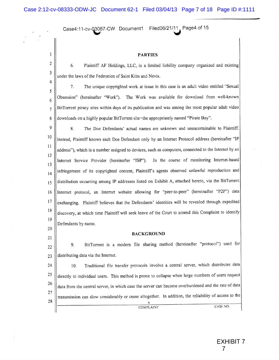Case4:11-cv-Q3067-CW Documentl **Filed06/21/11** Page4of15

20 21

#### **PARTIES**

6. Plaintiff AF Holdings, LLC, is a limited liability company organized and existing under the laws of the Federation of Saint Kitts and Nevis.

5 6 7 8 7. The unique copyrighted work at issue in this case is an adult video entitled "Sexual Obsession" (hereinafter "Work"). The Work was available for download from well-known BitTorrent piracy sites within days of its publication and was among the most popular adult video downloads on a highly popular BitTorrent site-the appropriately named "Pirate Bay".

9 10 11 12 13 14 15 16 17 18 19 8. The Doe Defendants' actual names are unknown and unascertainable to Plaintiff. Instead, Plaintiff knows each Doe Defendant only by an Internet Protocol address (hereinafter "IP address"), which is a number assigned to devices, such as computers, connected to the Internet by an Internet Service Provider (hereinafter "ISP"). In the course of monitoring Internet-based infringement of its copyrighted content, Plaintiffs agents observed unlawful reproduction and distribution occurring among IP addresses listed on Exhibit A, attached hereto, via the BitTorrent Internet protocol, an Internet website allowing for "peer-to-peer" (hereinafter "P2P") data exchanging. Plaintiff believes that the Defendants' identities will be revealed through expedited discovery, at which time Plaintiff will seek leave of the Court to amend this Complaint to identify Defendants by name.

#### **BACKGROUND**

22 23 9. BitTorrent is a modern file sharing method (hereinafter "protocol") used for, distributing data via the Internet.

24 25 26 27 28 10. Traditional file transfer protocols involve a central server, which distributes data directly to individual users. This method is prone to collapse when large numbers of users request data from the central server, in which case the server can become overburdened and the rate of data transmission can slow considerably or cease altogether. In addition, the reliability of access to the 4 \_\_\_\_\_\_\_ \_ COMPLAINT CASE NO.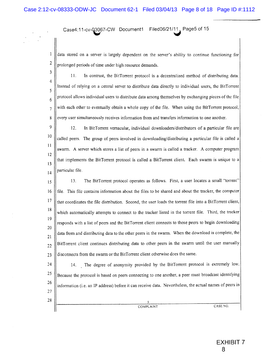Case4:11-cv-Q3067-CW Docurnentl **Filed06/21/11**. Page5 of 15

1 2 data stored on a server is largely dependent on the server's ability to continue functioning for prolonged periods of time under high resource demands.

3 4 5 6 7 8 11. In contrast, the BitTorrent protocol is a decentralized method of distributing data. Instead of relying on a central server to distribute data directly to individual users, the BitTorrent protocol allows individual users to distribute data among themselves by exchanging pieces of the file with each other to eventually obtain a whole copy of the file. When using the BitTorrent protocol, every user simultaneously receives information from and transfers information to one another.

9 10 11 12 13 14 12. In BitTorrent vernacular, individual downloaders/distributors of a particular file are called peers. The group of peers involved in downloading/distributing a particular file is called a swarm. A server which stores a list of peers in a swarm is called a tracker. A computer program that implements the BitTorrent protocol is called a BitTorrent client. Each swarm is unique to a particular file.

15 16 17 18 19 20 21 22 23 13. The BitTorrent protocol operates as follows. First, a user locates a small "torrent" file. This file contains information about the files to be shared and about the tracker, the computer that coordinates the file distribution. Second, the user loads the torrent file into a BitTorrent client, which automatically attempts to connect to the tracker listed in the torrent file. Third, the tracker responds with a list of peers and the BitTorrent client connects to those peers to begin downloading data from and distributing data to the other peers in the swarm. When the download is complete, the BitTorrent client continues distributing data to other peers in the swarm until the user manually disconnects from the swarm or the BitTorrent client otherwise does the same.

24 25 26 27 28 14. The degree of anonymity provided by the BitTorrent protocol is extremely low. Because the protocol is based on peers connecting to one another, a peer must broadcast identifying information (i.e. an IP address) before it can receive data. Nevertheless, the actual names of peers in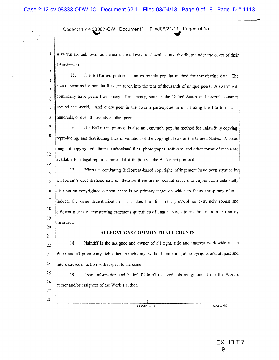Case4:11-cv-Q3067-CW Documentl **Filed06/21/11,** Page6 of 15

a swarm are unknown, as the users are allowed to download and distribute under the cover of their IP addresses,

3 4 5 6 7 8 15. The BitTorrent protocol is an extremely popular method for transferring data. The size of swarms for popular files can reach into the tens of thousands of unique peers. A swarm will commonly have peers from many, if not every, state in the United States and several countries around the world. And every peer in the swarm participates in distributing the file to dozens, hundreds, or even thousands of other peers.

9 10 11 12 13 16. The BitTorrent protocol is also an extremely popular method for unlawfully copying, reproducing, and distributing files in violation of the copyright laws of the United States. A broad range of copyrighted albums, audiovisual files, photographs, software, and other forms of media are available for illegal reproduction and distribution via the BitTorrent protocol.

14 15 16 17 18 19 17. Efforts at combating BitTorrent-based copyright infringement have been stymied by BitTorrent's decentralized nature. Because there are no central servers to enjoin from unlawfully distributing copyrighted content, there is no primary target on which to focus anti-piracy efforts. Indeed, the same decentralization that makes the BitTorrent protocol an extremely robust and efficient means of transferring enormous quantities of data also acts to insulate it from anti-piracy measures.

20 21

1 2

#### **ALLEGATIONS COMMON TO ALL COUNTS**

22 23 24 18. Plaintiff is the assignee and owner of all right, title and interest worldwide in the Work and all proprietary rights therein including, without limitation, all copyrights and all past and future causes of action with respect to the same.

25 26 19. Upon information and belief, Plaintiff received this assignment from the Work's author and/or assignees of the Work's author.

27 28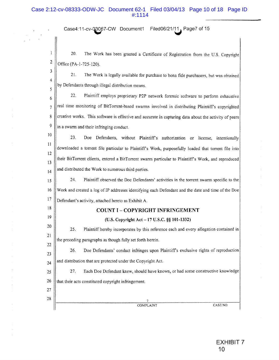# Case 2:12-cv-08333-ODW-JC Document 62-1 Filed 03/04/13 Page 10 of 18 Page ID #:1114

Case4:11-cv-CB067-CW Document! **Filed06/21/1**1<sup>A</sup> Page7 of 15

20. The Work has been granted a Certificate of Registration from the U.S. Copyright Office (PA-1-725-120).

3 4 5 21. The Work is legally available for purchase to bona fide purchasers, but was obtained by Defendants through illegal distribution means.

6 7 8 9 22. Plaintiff employs proprietary P2P network forensic software to perform exhaustive real time monitoring of BitTorrent-based swarms involved in distributing Plaintiffs copyrighted creative works. This software is effective and accurate in capturing data about the activity of peers in a swarm and their infringing conduct.

10 11 12 13 14 23. Doe Defendants, without Plaintiffs authorization or license, intentionally downloaded a torrent file particular to Plaintiff's Work, purposefully loaded that torrent file into their BitTorrent clients, entered a BitTorrent swarm particular to Plaintiff's Work, and reproduced and distributed the Work to numerous third parties.

15 16 17 24. Plaintiff observed the Doe Defendants' activities in the torrent swarm specific to the Work and created a log of IP addresses identifying each Defendant and the date and time of the Doe Defendant's activity, attached hereto as Exhibit A.

#### **COUNT I - COPYRIGHT INFRINGEMENT**

#### **(U.S. Copyright Act - 17 U.S.C. §§ 101-1332)**

25. Plaintiff hereby incorporates by this reference each and every allegation contained in the preceding paragraphs as though fully set forth herein.

23 24 26. Doe Defendants' conduct infringes upon Plaintiffs exclusive rights of reproduction and distribution that are protected under the Copyright Act.

25 26 27. Each Doe Defendant knew, should have known, or had some constructive knowledge that their acts constituted copyright infringement.

27 28

18

19

20

21 22

1 2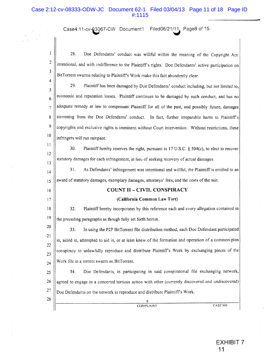# Case 2:12-cv-08333-ODW-JC Document 62-1 Filed 03/04/13 Page 11 of 18 Page ID #:1115

Case4:11-cv-©3Q67-CW Documentl **Filed06/21/1** *\* Page8of15

1 2 3 4 5 6 7 8 9 10 11 12 13 14 15 16 17 18 19 20 21 22 23 24 25 26 27 28 28. Doe Defendants' conduct was willful within the meaning of the Copyright Act: intentional, and with indifference to the Plaintiff's rights. Doe Defendants' active participation on BitTorrent swarms relating to Plaintiff's Work make this fact abundently clear. 29. Plaintiff has been damaged by Doe Defendants' conduct including, but not limited to, economic and reputation losses. Plaintiff continues to be damaged by such conduct, and has no adequate remedy at law to compensate Plaintiff for all of the past, and possibly future, damages stemming from the Doe Defendants' conduct. In fact, further irreparable harm to Plaintiffs copyrights and exclusive rights is imminent without Court intervention. Without restrictions, these infringers will run rampant. 30. Plaintiff hereby reserves the right, pursuant to 17 U.S.C. § 504(c), to elect to recover statutory damages for each infringement, in lieu of seeking recovery of actual damages. 31. As Defendants' infringement was intentional and willful, the Plaintiff is entitled to an award of statutory damages, exemplary damages, attorneys' fees, and the costs of the suit. **COUNT II - CIVIL CONSPIRACY (California Common Law Tort)**  32. Plaintiff hereby incorporates by this reference each and every allegation contained in the preceding paragraphs as though fully set forth herein. 33. In using the P2P BitTorrent file distribution method, each Doe Defendant participated in, aided in, attempted to aid in, or at least knew of the formation and operation of a common-plan conspiracy to unlawfully reproduce and distribute Plaintiffs Work by exchanging pieces of the Work file in a torrent swarm on BitTorrent. 34. Doe Defendants, in participating in said conspiratorial file exchanging network, agreed to engage in a concerted tortious action with other (currently discovered and undiscovered) Doe Defendants on the network to reproduce and distribute Plaintiff's Work. 8 COMPLAINT CASE NO.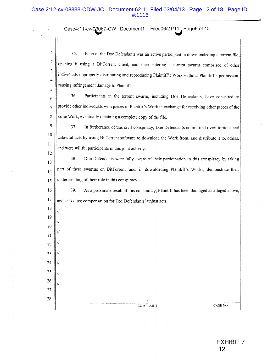## Case 2:12-cv-08333-ODW-JC Document 62-1 Filed 03/04/13 Page 12 of 18 Page ID #:1116

Case4:11-cv-C^067-CW Documentl **Filed06/21/11^** Page9 of 15

1 2 3 4 5 35. Each of the Doe Defendants was an active participant in downtoadeding a torrent file, opening it using a BitTorrent client, and then entering a torrent swarm comprised of other individuals improperly distributing and reproducing Plaintiff's Work without Plaintiff's permission, causing infringement damage to Plaintiff.

6 7 8 36. Participants in the torrent swarm, including Doe Defendants, have conspired to provide other individuals with pieces of Plantiff's Work in exchange for receiving other pieces of the same Work, eventually obtaining a complete copy of the file.

9 10 II 12 37. In furtherance of this civil conspiracy, Doe Defendants committed overt tortious and unlawful acts by using BitTorrent software to download the Work from, and distribute it to, others, and were willful participants in this joint activity.

13 14 15 38. Doe Defendants were fully aware of their participation in this conspiracy by taking part of these swarms on BitTorrent, and, in downloading Plaintiffs Works, demonstrate their understanding of their role in this conspiracy.

16 17 39. As a proximate result of this conspiracy, Plaintiff has been damaged as alleged above, and seeks just compensation for Doe Defendants' unjust acts.

18 19

//

 $\overline{L}$ 

TI

 $\prime$ 

20 21

22

23 24 25

26 27 28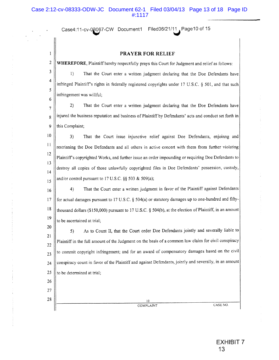Case4:11-cv-08067-CW Document1 Filed06/21/11 Page10 of 15

1 2

26 27 28

### **PRAYER FOR RELIEF**

**WHEREFORE,** Plaintiff hereby respectfully prays this Court for Judgment and relief as follows:

3 4 5 6 1) That the Court enter a written judgment declaring that the Doe Defendants have infringed Plaintiffs rights in federally registered copyrights under 17 U.S.C. § 501, and that such infringement was willful;

7 8 9 2) That the Court enter a written judgment declaring that the Doe Defendants have injured the business reputation and business of Plaintiff by Defendants' acts and conduct set forth in this Complaint;

10 11 12 13 14 15 3) That the Court issue injunctive relief against Doe Defendants, enjoinng and restrianing the Doe Defendants and all others in active concert with them from further violating Plaintiffs copyrighted Works, and further issue an order impounding or requiring Doe Defendants to destroy all copies of those unlawfully copyrighted files in Doe Defendants' possession, custody, and/or control pursuant to 17 U.S.C. §§ 503 & 509(a);

16 17 18 19 4) That the Court enter a written judgment in favor of the Plaintiff against Defendants for actual damages pursuant to 17 U.S.C. § 504(a) or statutory damages up to one-hundred and fiftythousand dollars (\$150,000) pursuant to 17 U.S.C. § 504(b), at the election of Plaintiff, in an amount to be ascertained at trial;

20 21 22 23 24 25 5) As to Count II, that the Court order Doe Defendants jointly and severally liable to Plaintiff in the full amount of the Judgment on the basis of a common law claim for civil conspiracy to commit copyright infringement; and for an award of compensatory damages based on the civil conspiracy count in favor of the Plaintiff and against Defendants, jointly and severally, in an amount to be determined at trial;

10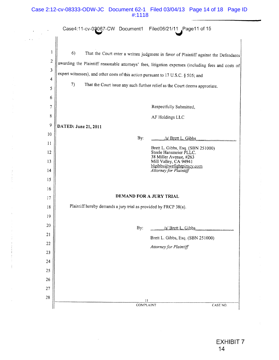# Case 2:12-cv-08333-ODW-JC Document 62-1 Filed 03/04/13 Page 14 of 18 Page ID #:1118

 $\mathcal{L}^{\text{max}}_{\text{max}}$ 

 $\frac{1}{2}$  , where

 $\mathcal{L}_{\text{max}}$ 

|                | Case4:11-cv-03067-CW Document1 Filed06/21/11 Page11 of 15                                           |  |  |  |  |  |
|----------------|-----------------------------------------------------------------------------------------------------|--|--|--|--|--|
|                |                                                                                                     |  |  |  |  |  |
| 1              | 6)<br>That the Court enter a written judgment in favor of Plaintiff against the Defendants          |  |  |  |  |  |
| $\overline{c}$ | awarding the Plaintiff reasonable attorneys' fees, litigation expenses (including fees and costs of |  |  |  |  |  |
| 3              | expert witnesses), and other costs of this action pursuant to 17 U.S.C. § 505; and                  |  |  |  |  |  |
| 4              | 7)<br>That the Court issue any such further relief as the Court deems approriate.                   |  |  |  |  |  |
| 5<br>6         |                                                                                                     |  |  |  |  |  |
| 7              | Respectfully Submitted,                                                                             |  |  |  |  |  |
| 8              | AF Holdings LLC                                                                                     |  |  |  |  |  |
| 9              | DATED: June 21, 2011                                                                                |  |  |  |  |  |
| 10             | By:<br>/s/ Brett L. Gibbs                                                                           |  |  |  |  |  |
| 11             | Brett L. Gibbs, Esq. (SBN 251000)                                                                   |  |  |  |  |  |
| 12             | Steele Hansmeier PLLC.<br>38 Miller Avenue, #263                                                    |  |  |  |  |  |
| 13             | Mill Valley, CA 94941<br>blgibbs@wefightpiracy.com                                                  |  |  |  |  |  |
| 14             | Attorney for Plaintiff                                                                              |  |  |  |  |  |
| 15<br>16       |                                                                                                     |  |  |  |  |  |
| 17             | DEMAND FOR A JURY TRIAL                                                                             |  |  |  |  |  |
| 18             | Plaintiff hereby demands a jury trial as provided by FRCP 38(a).                                    |  |  |  |  |  |
| 19             |                                                                                                     |  |  |  |  |  |
| 20             | By:<br>/s/ Brett L. Gibbs                                                                           |  |  |  |  |  |
| 21             | Brett L. Gibbs, Esq. (SBN 251000)                                                                   |  |  |  |  |  |
| 22             | Attorney for Plaintiff                                                                              |  |  |  |  |  |
| 23             |                                                                                                     |  |  |  |  |  |
| 24<br>25       |                                                                                                     |  |  |  |  |  |
| 26             |                                                                                                     |  |  |  |  |  |
| 27             |                                                                                                     |  |  |  |  |  |
| 28             | 11                                                                                                  |  |  |  |  |  |
|                | COMPLAINT<br>CASE NO.                                                                               |  |  |  |  |  |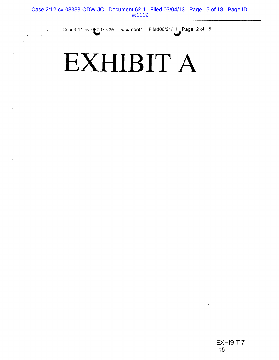Case4:11-cv-0^067-C W Documenti Filed06/2**1/11^** Page12 of 15

# **EXHIBIT A**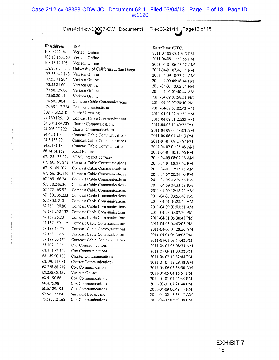## Case 2:12-cv-08333-ODW-JC Document 62-1 Filed 03/04/13 Page 16 of 18 Page ID #:1120

Case4:11-cv-0g067-CW Documenti **Filed06/21/11** .Page13of 15

| <b>IP Address</b> | ISP                                   |
|-------------------|---------------------------------------|
| 108.0.221.94      | Verizon Online                        |
| 108.13.156.153    | Verizon Online                        |
| 108.13.17.195     | Verizon Online                        |
| 132.239.76.253    | University of California at San Diego |
| 173.55.149.143    | Verizon Online                        |
| 173.55.71.204     | Verizon Online                        |
| 173.55.81.60      | Verizon Online                        |
| 173.58.139.80     | Verizon Online                        |
| 173.60.201.4      | Verizon Online                        |
| 174.50.130.4      | <b>Comcast Cable Communications</b>   |
| 174.65, 117.224   | Cox Communications                    |
| 208.51.82.210     | Global Crossing                       |
| 24.130.125.113    | <b>Comcast Cable Communications</b>   |
| 24.205.189.206    | <b>Charter Communications</b>         |
| 24.205.97.222     | <b>Charter Communications</b>         |
| 24.4.51.10        | <b>Comcast Cable Communications</b>   |
| 24.5.156.70       | Comcast Cable Communications          |
| 24.6.134.18       | <b>Comcast Cable Communications</b>   |
| 66.74.84.162      | Road Runner                           |
| 67.125.135.224    | AT&T Internet Services                |
| 67.160.193.242    | <b>Comcast Cable Communications</b>   |
| 67.161.65.207     | <b>Comcast Cable Communications</b>   |
| 67.166.130.140    | <b>Comcast Cable Communications</b>   |
| 67.169.166.241    | <b>Comcast Cable Communications</b>   |
| 67.170.246.36     | <b>Comcast Cable Communications</b>   |
| 67.172.169.92     | <b>Comcast Cable Communications</b>   |
| 67.180.235.233    | Comcast Cable Communications          |
| 67.180.8.210      | <b>Comcast Cable Communications</b>   |
| 67.181.120.80     | Comcast Cable Communications          |
| 67.181.252.132    | <b>Comcast Cable Communications</b>   |
| 67.182.96.201     | <b>Comcast Cable Communications</b>   |
| 67.187.159.119    | Comcast Cable Communications          |
| 67.188.13.70      | Comcast Cable Communications          |
| 67.188.132.6      | <b>Comcast Cable Communications</b>   |
| 67.188.29.151     | <b>Comcast Cable Communications</b>   |
| 68.107.63.75      | Cox Communications                    |
| 68.111.82.122     | Cox Communications                    |
| 68.189.90.137     | <b>Charter Communications</b>         |
| 68.190.213.81     | <b>Charter Communications</b>         |
| 68.228.68.212     | Cox Communications                    |
| 68.238.68.159     | Verizon Online                        |
| 68.4.190.86       | Cox Communications                    |
| 68.4.75.98        | Cox Communications                    |
| 68.6.129.195      | Cox Communications                    |
| 69.62.177.84      | Surewest Broadband                    |

70.181.121.68 Cox Communications

Date/Time (UTC) 2011-04-08 08:10:13 PM 2011-04-09 11:53:55 PM 2011-04-01 06:43:32 A M 2011-04-01 07:46:44 PM 2011-04-09 10:33:24 A M 2011-04-09 06:16:44 PM 2011-04-01 10:05:26 PM 2011-04-05 01:40:44 AM 2011-04-09 01:56:51 PM 2011-04-05 07:20:10 PM 2011-04-09 05:02:43 A M 2011-04-01 02:41:52 A M 2011-04-08 01:22:38 A M 2011-04-08 10:49:32 PM 2011-04-09 06:48:03 A M 2011-04-06 01:41:13 PM 2011-04-01 09:20:54 PM 2011-04-02 01:35:48 A M 2011-04-01 10:12:56 PM 2011-04-09 08:02:18 A M 2011-04-01 08:23:52 PM 2011-04-01 12:15:18 AM 2011-04-07 08:26:09 PM 2011-04-05 03:29:56 PM 2011-04-09 04:33:58 PM 2011-04-09 12:18:20 AM 2011-04-01 03:55:48 PM 2011-04-01 03:28:40 A M 2011-04-09 01:03:51 A M 2011-04-08 09:07:20 PM 2011-04-01 06:30:48 PM 2011-04-05 04:43:05 PM 2011-04-06 03:20:50 A M 2011-04-01 06:30:06 PM 2011-04-01 02:14:42 PM 2011-04-01 05:08:35 A M 2011-04-09 11:00:22 PM 2011-04-07 10:32:44 PM 2011-04-01 12:29:48 A M 2011-04-06 06:58:00 A M 2011-04-05 04:16:51 PM 2011-04-01 07:45:44 PM 2011-03-31 07:24:48 PM 2011-04-09 06:49:44 PM 2011-04-02 12:58:45 A M 2011-04-07 07:59:08 PM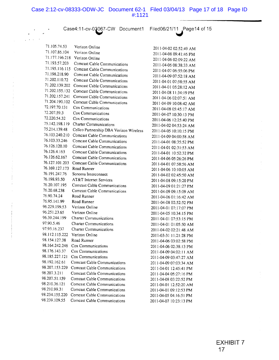Case4:11-cv-03067-CW Document1 Filed06/21/11 Page14 of 15

| 71.105.74.53   | Verizon Online                          | 2011-04-02 02:52:49 AM |
|----------------|-----------------------------------------|------------------------|
| 71.107.86.104  | Verizon Online                          | 2011-04-08 09:41:46 PM |
| 71.177.196.218 | Verizon Online                          | 2011-04-06 02:09:22 AM |
| 71.193.57.203  | Comcast Cable Communications            | 2011-04-06 08:38:33 AM |
| 71.195.116.115 | Comcast Cable Communications            | 2011-04-07 06:55:06 PM |
| 71.198.218.90  | <b>Comcast Cable Communications</b>     | 2011-04-09 07:52:18 AM |
| 71.202.110.72  | <b>Comcast Cable Communications</b>     | 2011-04-01 07:58:55 AM |
| 71.202.139.202 | <b>Comcast Cable Communications</b>     | 2011-04-01 05:28:12 AM |
| 71.202.155,132 | <b>Comcast Cable Communications</b>     | 2011-04-08 11:34:19 PM |
| 71.202.157.241 | <b>Comcast Cable Communications</b>     | 2011-04-06 02:07:51 AM |
| 71.204.190.102 | <b>Comcast Cable Communications</b>     | 2011-04-09 10:08:42 AM |
| 72.197.70.131  | Cox Communications                      | 2011-04-08 05:45:17 AM |
| 72.207.59.3    | Cox Communications                      | 2011-04-07 10:30:13 PM |
| 72.220.54.32   | Cox Communications                      | 2011-04-06 12:25:40 PM |
| 75.142.198.119 | <b>Charter Communications</b>           | 2011-04-02 04:53:24 AM |
| 75.214.139.48  | Cellco Partnership DBA Verizon Wireless | 2011-04-05 10:10:15 PM |
| 76.103.240.210 | <b>Comcast Cable Communications</b>     | 2011-04-09 04:00:58 AM |
| 76.103.33.246  | Comcast Cable Communications            | 2011-04-01 08:35:52 PM |
| 76.126.120.10  | Comcast Cable Communications            | 2011-04-01 02:31:53 AM |
| 76.126.4.163   | <b>Comcast Cable Communications</b>     | 2011-04-01 10:52:32 PM |
| 76.126.62.167  | <b>Comcast Cable Communications</b>     | 2011-04-06 05:26:26 PM |
| 76.127.101.203 | <b>Comcast Cable Communications</b>     | 2011-04-01 07:58:56 AM |
| 76.169.127.173 | Road Runner                             | 2011-04-06 10:10:05 AM |
| 76.191.247.76  | Sonoma Interconnect                     | 2011-04-02 02:45:50 AM |
| 76.198.93.50   | AT&T Internet Services                  | 2011-04-08 09:15:20 PM |
| 76.20.107.195  | <b>Comcast Cable Communications</b>     | 2011-04-09 01:21:27 PM |
| 76.20.68.238   | <b>Comcast Cable Communications</b>     | 2011-04-09 09:15:09 AM |
| 76.90.74.24    | Road Runner                             | 2011-04-06 01:16:42 AM |
| 76.95.141.99   | Road Runner                             | 2011-04-08 02:52:52 PM |
| 96.229.199.53  | Verizon Online                          | 2011-04-01 07:17:07 PM |
| 96.251.23.65   | Verizon Online                          | 2011-04-05 10:34:15 PM |
| 96.39.244.199  | <b>Charter Communications</b>           | 2011-04-01 07:53:15 PM |
| 97.90.5.46     | <b>Charter Communications</b>           | 2011-04-01 01:05:50 AM |
| 97.93.16.237   | <b>Charter Communications</b>           | 2011-04-02 02:21:48 AM |
| 98.112.115.222 | Verizon Online                          | 2011-03-31 11:21:28 PM |
| 98.154.127.38  | Road Runner                             | 2011-04-06 03:02:58 PM |
| 98.164.242.246 | Cox Communications                      | 2011-04-06 02:38:13 PM |
| 98.176.143.37  | Cox Communications                      | 2011-04-09 04:02:11 AM |
| 98.185.227.121 | Cox Communications                      | 2011-04-09 03:47:27 AM |
| 98.192.162.61  | <b>Comcast Cable Communications</b>     | 2011-04-09 07:03:34 AM |
| 98.207.153.229 | Comcast Cable Communications            | 2011-04-01 12:45:41 PM |
| 98.207.3.211   | <b>Comcast Cable Communications</b>     | 2011-04-04 05:27:16 PM |
| 98.207.51.159  | Comcast Cable Communications            | 2011-04-08 03:22:52 PM |
| 98.210.36.121  | <b>Comcast Cable Communications</b>     | 2011-04-01 12:52:20 AM |
| 98.210.99.31   | Comcast Cable Communications            | 2011-04-01 09:12:53 PM |
| 98.234.155.220 | Comcast Cable Communications            | 2011-04-05 04:16:51 PM |
| 98.239.109.55  | <b>Comcast Cable Communications</b>     | 2011-04-07 10:23:13 PM |